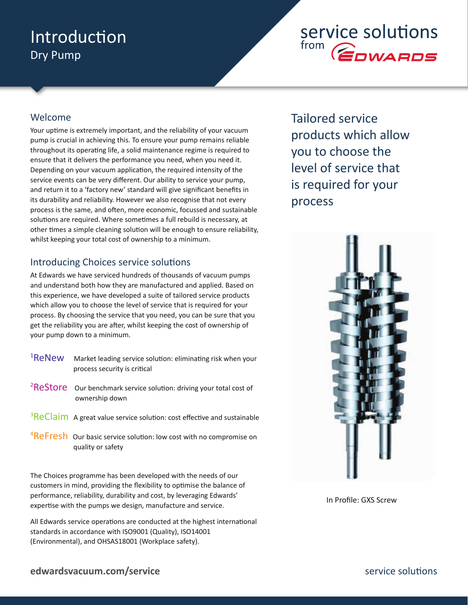### Introduction Dry Pump

## service solutions from **COWARDS**

### Welcome

Your uptime is extremely important, and the reliability of your vacuum pump is crucial in achieving this. To ensure your pump remains reliable throughout its operating life, a solid maintenance regime is required to ensure that it delivers the performance you need, when you need it. Depending on your vacuum application, the required intensity of the service events can be very different. Our ability to service your pump, and return it to a 'factory new' standard will give significant benefits in its durability and reliability. However we also recognise that not every process is the same, and often, more economic, focussed and sustainable solutions are required. Where sometimes a full rebuild is necessary, at other times a simple cleaning solution will be enough to ensure reliability, whilst keeping your total cost of ownership to a minimum.

### Introducing Choices service solutions

At Edwards we have serviced hundreds of thousands of vacuum pumps and understand both how they are manufactured and applied. Based on this experience, we have developed a suite of tailored service products which allow you to choose the level of service that is required for your process. By choosing the service that you need, you can be sure that you get the reliability you are after, whilst keeping the cost of ownership of your pump down to a minimum.

| <sup>1</sup> ReNew | Market leading service solution: eliminating risk when your<br>process security is critical       |
|--------------------|---------------------------------------------------------------------------------------------------|
|                    | <sup>2</sup> ReStore our benchmark service solution: driving your total cost of<br>ownership down |

- $3$ ReClaim A great value service solution: cost effective and sustainable
- <sup>4</sup>ReFresh Our basic service solution: low cost with no compromise on quality or safety

The Choices programme has been developed with the needs of our customers in mind, providing the flexibility to optimise the balance of performance, reliability, durability and cost, by leveraging Edwards' expertise with the pumps we design, manufacture and service.

All Edwards service operations are conducted at the highest international standards in accordance with ISO9001 (Quality), ISO14001 (Environmental), and OHSAS18001 (Workplace safety).

Tailored service products which allow you to choose the level of service that is required for your process



In Profile: GXS Screw